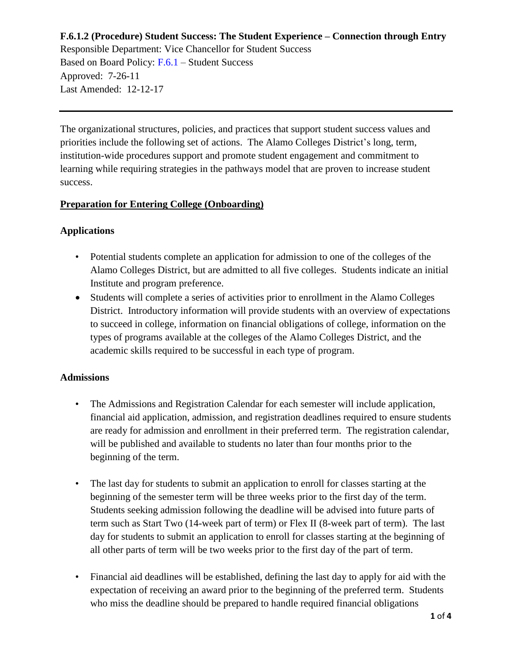Responsible Department: Vice Chancellor for Student Success Based on Board Policy: [F.6.1](https://www.alamo.edu/siteassets/district/about-us/leadership/board-of-trustees/policies-pdfs/section-f/f.6.1-policy.pdf) – Student Success Approved: 7-26-11 Last Amended: 12-12-17

The organizational structures, policies, and practices that support student success values and priorities include the following set of actions. The Alamo Colleges District's long, term, institution-wide procedures support and promote student engagement and commitment to learning while requiring strategies in the pathways model that are proven to increase student success.

#### **Preparation for Entering College (Onboarding)**

# **Applications**

- Potential students complete an application for admission to one of the colleges of the Alamo Colleges District, but are admitted to all five colleges. Students indicate an initial Institute and program preference.
- Students will complete a series of activities prior to enrollment in the Alamo Colleges District. Introductory information will provide students with an overview of expectations to succeed in college, information on financial obligations of college, information on the types of programs available at the colleges of the Alamo Colleges District, and the academic skills required to be successful in each type of program.

#### **Admissions**

- The Admissions and Registration Calendar for each semester will include application, financial aid application, admission, and registration deadlines required to ensure students are ready for admission and enrollment in their preferred term. The registration calendar, will be published and available to students no later than four months prior to the beginning of the term.
- The last day for students to submit an application to enroll for classes starting at the beginning of the semester term will be three weeks prior to the first day of the term. Students seeking admission following the deadline will be advised into future parts of term such as Start Two (14-week part of term) or Flex II (8-week part of term). The last day for students to submit an application to enroll for classes starting at the beginning of all other parts of term will be two weeks prior to the first day of the part of term.
- Financial aid deadlines will be established, defining the last day to apply for aid with the expectation of receiving an award prior to the beginning of the preferred term. Students who miss the deadline should be prepared to handle required financial obligations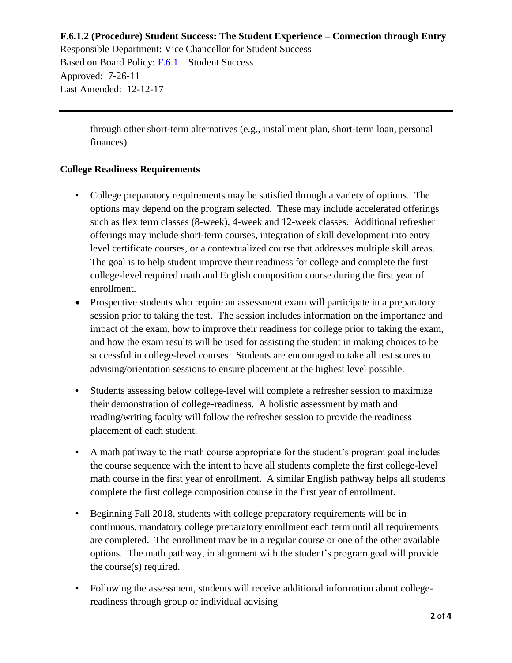Responsible Department: Vice Chancellor for Student Success Based on Board Policy: [F.6.1](https://www.alamo.edu/siteassets/district/about-us/leadership/board-of-trustees/policies-pdfs/section-f/f.6.1-policy.pdf) – Student Success Approved: 7-26-11 Last Amended: 12-12-17

> through other short-term alternatives (e.g., installment plan, short-term loan, personal finances).

## **College Readiness Requirements**

- College preparatory requirements may be satisfied through a variety of options. The options may depend on the program selected. These may include accelerated offerings such as flex term classes (8-week), 4-week and 12-week classes. Additional refresher offerings may include short-term courses, integration of skill development into entry level certificate courses, or a contextualized course that addresses multiple skill areas. The goal is to help student improve their readiness for college and complete the first college-level required math and English composition course during the first year of enrollment.
- Prospective students who require an assessment exam will participate in a preparatory session prior to taking the test. The session includes information on the importance and impact of the exam, how to improve their readiness for college prior to taking the exam, and how the exam results will be used for assisting the student in making choices to be successful in college-level courses. Students are encouraged to take all test scores to advising/orientation sessions to ensure placement at the highest level possible.
- Students assessing below college-level will complete a refresher session to maximize their demonstration of college-readiness. A holistic assessment by math and reading/writing faculty will follow the refresher session to provide the readiness placement of each student.
- A math pathway to the math course appropriate for the student's program goal includes the course sequence with the intent to have all students complete the first college-level math course in the first year of enrollment. A similar English pathway helps all students complete the first college composition course in the first year of enrollment.
- Beginning Fall 2018, students with college preparatory requirements will be in continuous, mandatory college preparatory enrollment each term until all requirements are completed. The enrollment may be in a regular course or one of the other available options. The math pathway, in alignment with the student's program goal will provide the course(s) required.
- Following the assessment, students will receive additional information about collegereadiness through group or individual advising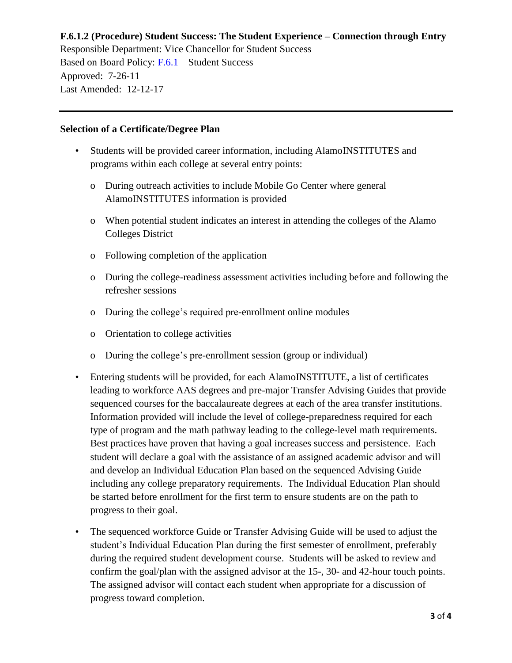Responsible Department: Vice Chancellor for Student Success Based on Board Policy: [F.6.1](https://www.alamo.edu/siteassets/district/about-us/leadership/board-of-trustees/policies-pdfs/section-f/f.6.1-policy.pdf) – Student Success Approved: 7-26-11 Last Amended: 12-12-17

#### **Selection of a Certificate/Degree Plan**

- Students will be provided career information, including AlamoINSTITUTES and programs within each college at several entry points:
	- o During outreach activities to include Mobile Go Center where general AlamoINSTITUTES information is provided
	- o When potential student indicates an interest in attending the colleges of the Alamo Colleges District
	- o Following completion of the application
	- o During the college-readiness assessment activities including before and following the refresher sessions
	- o During the college's required pre-enrollment online modules
	- o Orientation to college activities
	- o During the college's pre-enrollment session (group or individual)
- Entering students will be provided, for each AlamoINSTITUTE, a list of certificates leading to workforce AAS degrees and pre-major Transfer Advising Guides that provide sequenced courses for the baccalaureate degrees at each of the area transfer institutions. Information provided will include the level of college-preparedness required for each type of program and the math pathway leading to the college-level math requirements. Best practices have proven that having a goal increases success and persistence. Each student will declare a goal with the assistance of an assigned academic advisor and will and develop an Individual Education Plan based on the sequenced Advising Guide including any college preparatory requirements. The Individual Education Plan should be started before enrollment for the first term to ensure students are on the path to progress to their goal.
- The sequenced workforce Guide or Transfer Advising Guide will be used to adjust the student's Individual Education Plan during the first semester of enrollment, preferably during the required student development course. Students will be asked to review and confirm the goal/plan with the assigned advisor at the 15-, 30- and 42-hour touch points. The assigned advisor will contact each student when appropriate for a discussion of progress toward completion.